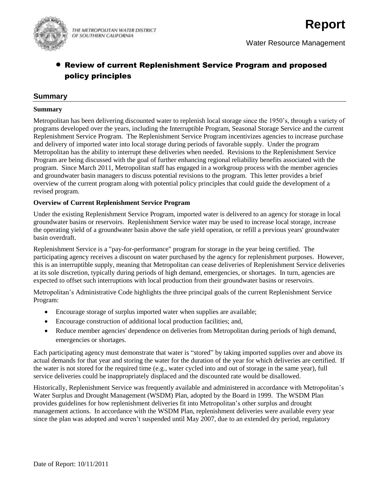

Water Resource Management

# Review of current Replenishment Service Program and proposed policy principles

## **Summary**

#### **Summary**

Metropolitan has been delivering discounted water to replenish local storage since the 1950's, through a variety of programs developed over the years, including the Interruptible Program, Seasonal Storage Service and the current Replenishment Service Program. The Replenishment Service Program incentivizes agencies to increase purchase and delivery of imported water into local storage during periods of favorable supply. Under the program Metropolitan has the ability to interrupt these deliveries when needed. Revisions to the Replenishment Service Program are being discussed with the goal of further enhancing regional reliability benefits associated with the program. Since March 2011, Metropolitan staff has engaged in a workgroup process with the member agencies and groundwater basin managers to discuss potential revisions to the program. This letter provides a brief overview of the current program along with potential policy principles that could guide the development of a revised program.

#### **Overview of Current Replenishment Service Program**

Under the existing Replenishment Service Program, imported water is delivered to an agency for storage in local groundwater basins or reservoirs. Replenishment Service water may be used to increase local storage, increase the operating yield of a groundwater basin above the safe yield operation, or refill a previous years' groundwater basin overdraft.

Replenishment Service is a "pay-for-performance" program for storage in the year being certified. The participating agency receives a discount on water purchased by the agency for replenishment purposes. However, this is an interruptible supply, meaning that Metropolitan can cease deliveries of Replenishment Service deliveries at its sole discretion, typically during periods of high demand, emergencies, or shortages. In turn, agencies are expected to offset such interruptions with local production from their groundwater basins or reservoirs.

Metropolitan's Administrative Code highlights the three principal goals of the current Replenishment Service Program:

- Encourage storage of surplus imported water when supplies are available;
- Encourage construction of additional local production facilities; and,
- Reduce member agencies' dependence on deliveries from Metropolitan during periods of high demand, emergencies or shortages.

Each participating agency must demonstrate that water is "stored" by taking imported supplies over and above its actual demands for that year and storing the water for the duration of the year for which deliveries are certified. If the water is not stored for the required time (e.g., water cycled into and out of storage in the same year), full service deliveries could be inappropriately displaced and the discounted rate would be disallowed.

Historically, Replenishment Service was frequently available and administered in accordance with Metropolitan's Water Surplus and Drought Management (WSDM) Plan, adopted by the Board in 1999. The WSDM Plan provides guidelines for how replenishment deliveries fit into Metropolitan's other surplus and drought management actions. In accordance with the WSDM Plan, replenishment deliveries were available every year since the plan was adopted and weren't suspended until May 2007, due to an extended dry period, regulatory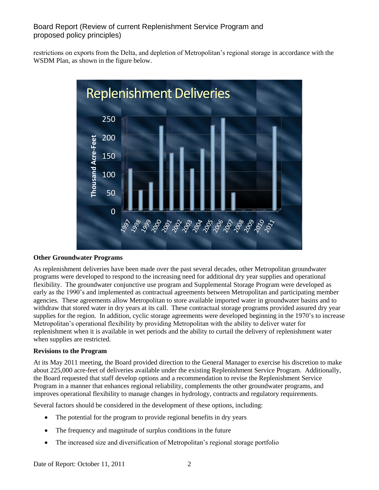# Board Report (Review of current Replenishment Service Program and proposed policy principles)

restrictions on exports from the Delta, and depletion of Metropolitan's regional storage in accordance with the WSDM Plan, as shown in the figure below.



## **Other Groundwater Programs**

As replenishment deliveries have been made over the past several decades, other Metropolitan groundwater programs were developed to respond to the increasing need for additional dry year supplies and operational flexibility. The groundwater conjunctive use program and Supplemental Storage Program were developed as early as the 1990's and implemented as contractual agreements between Metropolitan and participating member agencies. These agreements allow Metropolitan to store available imported water in groundwater basins and to withdraw that stored water in dry years at its call. These contractual storage programs provided assured dry year supplies for the region. In addition, cyclic storage agreements were developed beginning in the 1970's to increase Metropolitan's operational flexibility by providing Metropolitan with the ability to deliver water for replenishment when it is available in wet periods and the ability to curtail the delivery of replenishment water when supplies are restricted.

## **Revisions to the Program**

At its May 2011 meeting, the Board provided direction to the General Manager to exercise his discretion to make about 225,000 acre-feet of deliveries available under the existing Replenishment Service Program. Additionally, the Board requested that staff develop options and a recommendation to revise the Replenishment Service Program in a manner that enhances regional reliability, complements the other groundwater programs, and improves operational flexibility to manage changes in hydrology, contracts and regulatory requirements.

Several factors should be considered in the development of these options, including:

- The potential for the program to provide regional benefits in dry years
- The frequency and magnitude of surplus conditions in the future
- The increased size and diversification of Metropolitan's regional storage portfolio